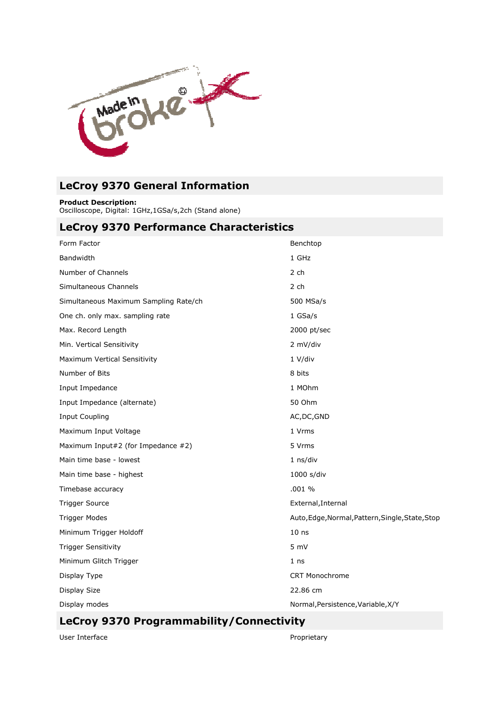

# LeCroy 9370 General Information

Product Description:

Oscilloscope, Digital: 1GHz,1GSa/s,2ch (Stand alone)

## LeCroy 9370 Performance Characteristics

| Form Factor                           | Benchtop                                         |
|---------------------------------------|--------------------------------------------------|
| <b>Bandwidth</b>                      | 1 GHz                                            |
| Number of Channels                    | 2 ch                                             |
| Simultaneous Channels                 | 2 ch                                             |
| Simultaneous Maximum Sampling Rate/ch | 500 MSa/s                                        |
| One ch. only max. sampling rate       | 1 GSa/s                                          |
| Max. Record Length                    | 2000 pt/sec                                      |
| Min. Vertical Sensitivity             | 2 mV/div                                         |
| Maximum Vertical Sensitivity          | 1 V/div                                          |
| Number of Bits                        | 8 bits                                           |
| Input Impedance                       | 1 MOhm                                           |
| Input Impedance (alternate)           | 50 Ohm                                           |
| <b>Input Coupling</b>                 | AC, DC, GND                                      |
| Maximum Input Voltage                 | 1 Vrms                                           |
| Maximum Input#2 (for Impedance #2)    | 5 Vrms                                           |
| Main time base - lowest               | $1$ ns/div                                       |
| Main time base - highest              | 1000 s/div                                       |
| Timebase accuracy                     | .001%                                            |
| <b>Trigger Source</b>                 | External, Internal                               |
| <b>Trigger Modes</b>                  | Auto, Edge, Normal, Pattern, Single, State, Stop |
| Minimum Trigger Holdoff               | 10 <sub>ns</sub>                                 |
| <b>Trigger Sensitivity</b>            | 5 mV                                             |
| Minimum Glitch Trigger                | 1 <sub>ns</sub>                                  |
| Display Type                          | <b>CRT Monochrome</b>                            |
| Display Size                          | 22.86 cm                                         |
| Display modes                         | Normal, Persistence, Variable, X/Y               |

## LeCroy 9370 Programmability/Connectivity

User Interface

Proprietary